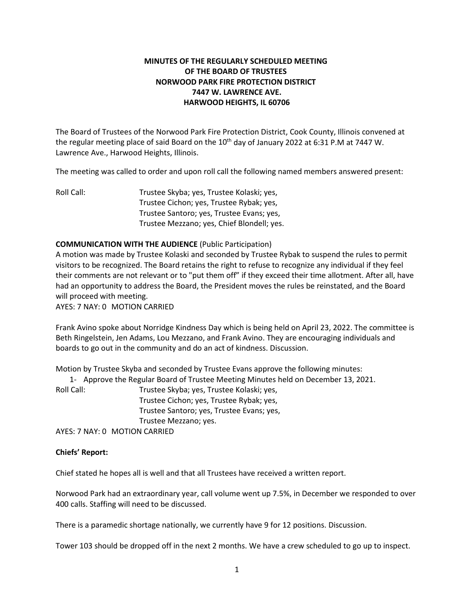# **MINUTES OF THE REGULARLY SCHEDULED MEETING OF THE BOARD OF TRUSTEES NORWOOD PARK FIRE PROTECTION DISTRICT 7447 W. LAWRENCE AVE. HARWOOD HEIGHTS, IL 60706**

The Board of Trustees of the Norwood Park Fire Protection District, Cook County, Illinois convened at the regular meeting place of said Board on the  $10<sup>th</sup>$  day of January 2022 at 6:31 P.M at 7447 W. Lawrence Ave., Harwood Heights, Illinois.

The meeting was called to order and upon roll call the following named members answered present:

Roll Call: Trustee Skyba; yes, Trustee Kolaski; yes, Trustee Cichon; yes, Trustee Rybak; yes, Trustee Santoro; yes, Trustee Evans; yes, Trustee Mezzano; yes, Chief Blondell; yes.

## **COMMUNICATION WITH THE AUDIENCE** (Public Participation)

A motion was made by Trustee Kolaski and seconded by Trustee Rybak to suspend the rules to permit visitors to be recognized. The Board retains the right to refuse to recognize any individual if they feel their comments are not relevant or to "put them off" if they exceed their time allotment. After all, have had an opportunity to address the Board, the President moves the rules be reinstated, and the Board will proceed with meeting.

AYES: 7 NAY: 0 MOTION CARRIED

Frank Avino spoke about Norridge Kindness Day which is being held on April 23, 2022. The committee is Beth Ringelstein, Jen Adams, Lou Mezzano, and Frank Avino. They are encouraging individuals and boards to go out in the community and do an act of kindness. Discussion.

Motion by Trustee Skyba and seconded by Trustee Evans approve the following minutes:

1- Approve the Regular Board of Trustee Meeting Minutes held on December 13, 2021.

Roll Call: Trustee Skyba; yes, Trustee Kolaski; yes, Trustee Cichon; yes, Trustee Rybak; yes, Trustee Santoro; yes, Trustee Evans; yes, Trustee Mezzano; yes.

AYES: 7 NAY: 0 MOTION CARRIED

### **Chiefs' Report:**

Chief stated he hopes all is well and that all Trustees have received a written report.

Norwood Park had an extraordinary year, call volume went up 7.5%, in December we responded to over 400 calls. Staffing will need to be discussed.

There is a paramedic shortage nationally, we currently have 9 for 12 positions. Discussion.

Tower 103 should be dropped off in the next 2 months. We have a crew scheduled to go up to inspect.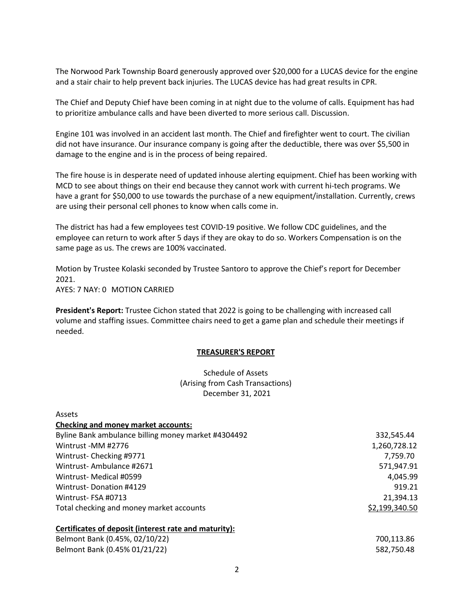The Norwood Park Township Board generously approved over \$20,000 for a LUCAS device for the engine and a stair chair to help prevent back injuries. The LUCAS device has had great results in CPR.

The Chief and Deputy Chief have been coming in at night due to the volume of calls. Equipment has had to prioritize ambulance calls and have been diverted to more serious call. Discussion.

Engine 101 was involved in an accident last month. The Chief and firefighter went to court. The civilian did not have insurance. Our insurance company is going after the deductible, there was over \$5,500 in damage to the engine and is in the process of being repaired.

The fire house is in desperate need of updated inhouse alerting equipment. Chief has been working with MCD to see about things on their end because they cannot work with current hi-tech programs. We have a grant for \$50,000 to use towards the purchase of a new equipment/installation. Currently, crews are using their personal cell phones to know when calls come in.

The district has had a few employees test COVID-19 positive. We follow CDC guidelines, and the employee can return to work after 5 days if they are okay to do so. Workers Compensation is on the same page as us. The crews are 100% vaccinated.

Motion by Trustee Kolaski seconded by Trustee Santoro to approve the Chief's report for December 2021. AYES: 7 NAY: 0 MOTION CARRIED

**President's Report:** Trustee Cichon stated that 2022 is going to be challenging with increased call volume and staffing issues. Committee chairs need to get a game plan and schedule their meetings if needed.

### **TREASURER'S REPORT**

Schedule of Assets (Arising from Cash Transactions) December 31, 2021

| Assets                                                |                |
|-------------------------------------------------------|----------------|
| <b>Checking and money market accounts:</b>            |                |
| Byline Bank ambulance billing money market #4304492   | 332,545.44     |
| Wintrust -MM #2776                                    | 1,260,728.12   |
| Wintrust-Checking #9771                               | 7,759.70       |
| Wintrust-Ambulance #2671                              | 571,947.91     |
| Wintrust- Medical #0599                               | 4,045.99       |
| Wintrust-Donation #4129                               | 919.21         |
| Wintrust-FSA #0713                                    | 21,394.13      |
| Total checking and money market accounts              | \$2,199,340.50 |
| Certificates of deposit (interest rate and maturity): |                |
| Belmont Bank (0.45%, 02/10/22)                        | 700,113.86     |
| Belmont Bank (0.45% 01/21/22)                         | 582,750.48     |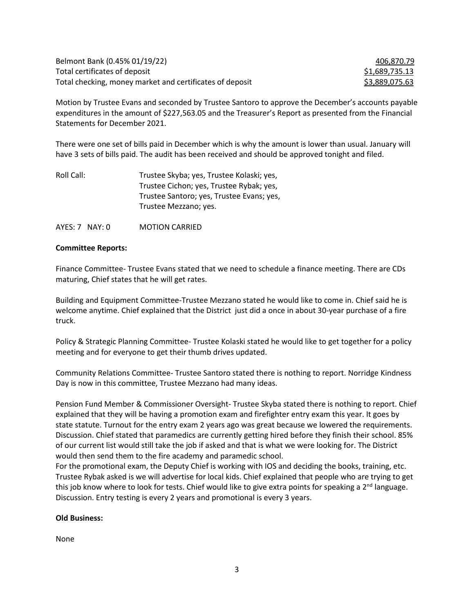| Belmont Bank (0.45% 01/19/22)                            | 406,870.79     |
|----------------------------------------------------------|----------------|
| Total certificates of deposit                            | \$1,689,735.13 |
| Total checking, money market and certificates of deposit | \$3,889,075.63 |

Motion by Trustee Evans and seconded by Trustee Santoro to approve the December's accounts payable expenditures in the amount of \$227,563.05 and the Treasurer's Report as presented from the Financial Statements for December 2021.

There were one set of bills paid in December which is why the amount is lower than usual. January will have 3 sets of bills paid. The audit has been received and should be approved tonight and filed.

| Roll Call: | Trustee Skyba; yes, Trustee Kolaski; yes, |
|------------|-------------------------------------------|
|            | Trustee Cichon; yes, Trustee Rybak; yes,  |
|            | Trustee Santoro; yes, Trustee Evans; yes, |
|            | Trustee Mezzano; yes.                     |

AYES: 7 NAY: 0 MOTION CARRIED

### **Committee Reports:**

Finance Committee- Trustee Evans stated that we need to schedule a finance meeting. There are CDs maturing, Chief states that he will get rates.

Building and Equipment Committee-Trustee Mezzano stated he would like to come in. Chief said he is welcome anytime. Chief explained that the District just did a once in about 30-year purchase of a fire truck.

Policy & Strategic Planning Committee- Trustee Kolaski stated he would like to get together for a policy meeting and for everyone to get their thumb drives updated.

Community Relations Committee- Trustee Santoro stated there is nothing to report. Norridge Kindness Day is now in this committee, Trustee Mezzano had many ideas.

Pension Fund Member & Commissioner Oversight- Trustee Skyba stated there is nothing to report. Chief explained that they will be having a promotion exam and firefighter entry exam this year. It goes by state statute. Turnout for the entry exam 2 years ago was great because we lowered the requirements. Discussion. Chief stated that paramedics are currently getting hired before they finish their school. 85% of our current list would still take the job if asked and that is what we were looking for. The District would then send them to the fire academy and paramedic school.

For the promotional exam, the Deputy Chief is working with IOS and deciding the books, training, etc. Trustee Rybak asked is we will advertise for local kids. Chief explained that people who are trying to get this job know where to look for tests. Chief would like to give extra points for speaking a  $2<sup>nd</sup>$  language. Discussion. Entry testing is every 2 years and promotional is every 3 years.

### **Old Business:**

None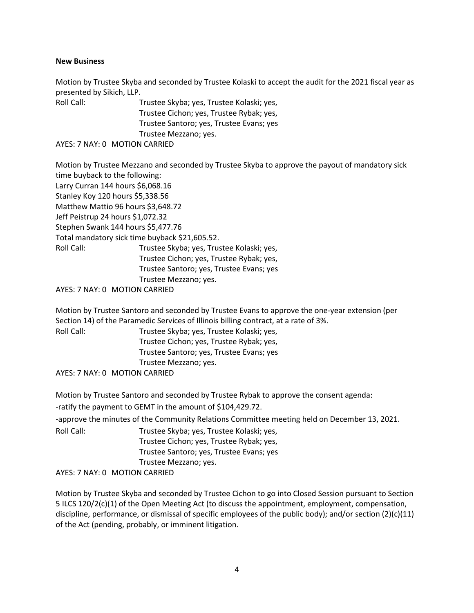### **New Business**

Motion by Trustee Skyba and seconded by Trustee Kolaski to accept the audit for the 2021 fiscal year as presented by Sikich, LLP.

| Roll Call: | Trustee Skyba; yes, Trustee Kolaski; yes, |
|------------|-------------------------------------------|
|            | Trustee Cichon; yes, Trustee Rybak; yes,  |
|            | Trustee Santoro; yes, Trustee Evans; yes  |
|            | Trustee Mezzano; yes.                     |
|            | AYES: 7 NAY: 0 MOTION CARRIED             |

Motion by Trustee Mezzano and seconded by Trustee Skyba to approve the payout of mandatory sick time buyback to the following: Larry Curran 144 hours \$6,068.16 Stanley Koy 120 hours \$5,338.56 Matthew Mattio 96 hours \$3,648.72 Jeff Peistrup 24 hours \$1,072.32 Stephen Swank 144 hours \$5,477.76 Total mandatory sick time buyback \$21,605.52. Roll Call: Trustee Skyba; yes, Trustee Kolaski; yes, Trustee Cichon; yes, Trustee Rybak; yes, Trustee Santoro; yes, Trustee Evans; yes Trustee Mezzano; yes.

AYES: 7 NAY: 0 MOTION CARRIED

Motion by Trustee Santoro and seconded by Trustee Evans to approve the one-year extension (per Section 14) of the Paramedic Services of Illinois billing contract, at a rate of 3%.

| Roll Call: | Trustee Skyba; yes, Trustee Kolaski; yes, |
|------------|-------------------------------------------|
|            | Trustee Cichon; yes, Trustee Rybak; yes,  |
|            | Trustee Santoro; yes, Trustee Evans; yes  |
|            | Trustee Mezzano; yes.                     |
|            | AYES: 7 NAY: 0 MOTION CARRIED             |

Motion by Trustee Santoro and seconded by Trustee Rybak to approve the consent agenda: -ratify the payment to GEMT in the amount of \$104,429.72. -approve the minutes of the Community Relations Committee meeting held on December 13, 2021. Roll Call: Trustee Skyba; yes, Trustee Kolaski; yes, Trustee Cichon; yes, Trustee Rybak; yes, Trustee Santoro; yes, Trustee Evans; yes Trustee Mezzano; yes. AYES: 7 NAY: 0 MOTION CARRIED

Motion by Trustee Skyba and seconded by Trustee Cichon to go into Closed Session pursuant to Section 5 ILCS 120/2(c)(1) of the Open Meeting Act (to discuss the appointment, employment, compensation, discipline, performance, or dismissal of specific employees of the public body); and/or section (2)(c)(11) of the Act (pending, probably, or imminent litigation.